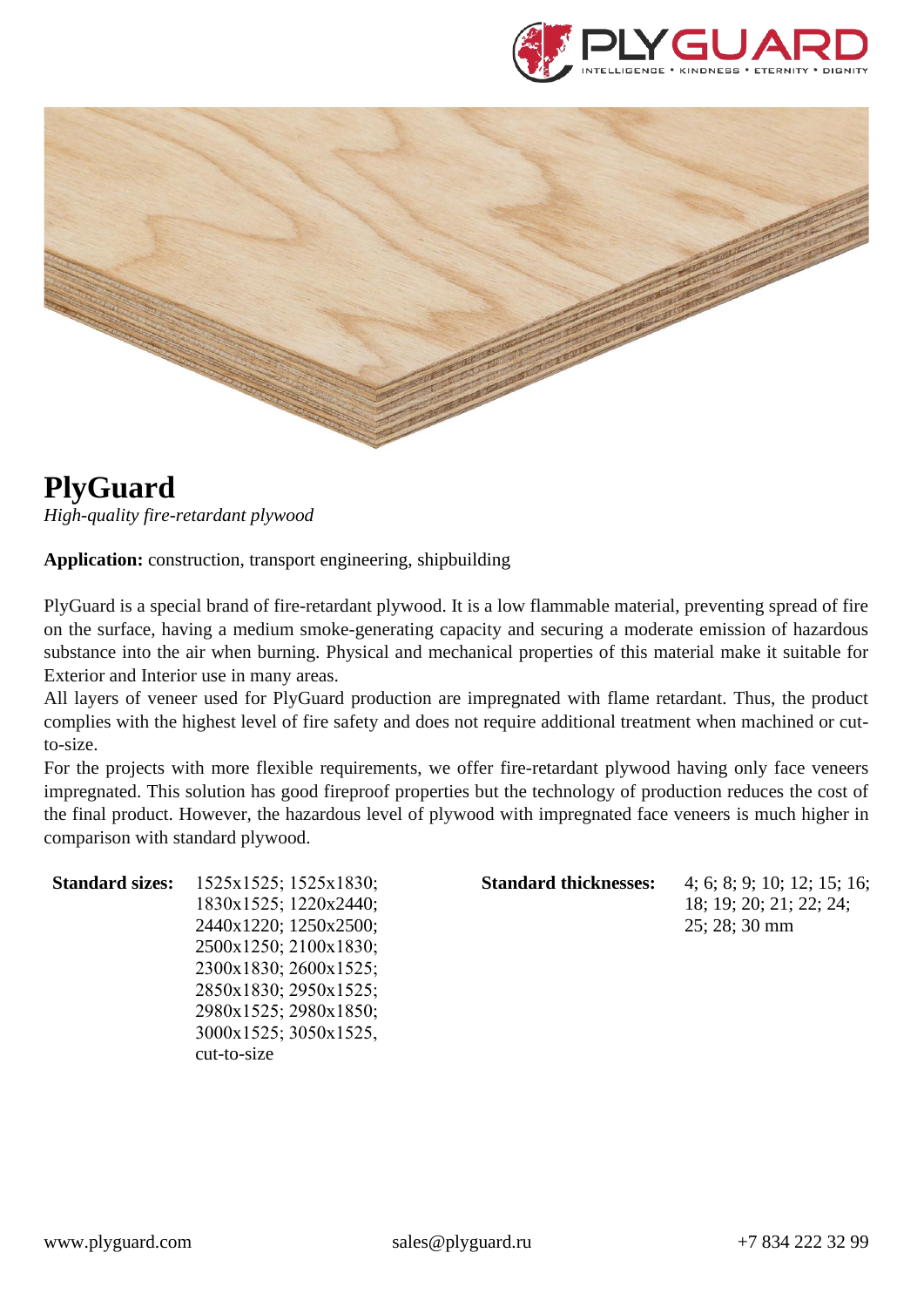



## **PlyGuard**

*High-quality fire-retardant plywood*

**Application:** construction, transport engineering, shipbuilding

PlyGuard is a special brand of fire-retardant plywood. It is a low flammable material, preventing spread of fire on the surface, having a medium smoke-generating capacity and securing a moderate emission of hazardous substance into the air when burning. Physical and mechanical properties of this material make it suitable for Exterior and Interior use in many areas.

All layers of veneer used for PlyGuard production are impregnated with flame retardant. Thus, the product complies with the highest level of fire safety and does not require additional treatment when machined or cutto-size.

For the projects with more flexible requirements, we offer fire-retardant plywood having only face veneers impregnated. This solution has good fireproof properties but the technology of production reduces the cost of the final product. However, the hazardous level of plywood with impregnated face veneers is much higher in comparison with standard plywood.

| <b>Standard sizes:</b> | 1525x1525; 1525x1830; | <b>Standard thicknesses:</b> | 4; 6; 8; 9; 10; 12; 15; 16; |
|------------------------|-----------------------|------------------------------|-----------------------------|
|                        | 1830x1525; 1220x2440; |                              | 18; 19; 20; 21; 22; 24;     |
|                        | 2440x1220; 1250x2500; |                              | $25:28:30 \text{ mm}$       |
|                        | 2500x1250; 2100x1830; |                              |                             |
|                        | 2300x1830; 2600x1525; |                              |                             |
|                        | 2850x1830; 2950x1525; |                              |                             |
|                        | 2980x1525; 2980x1850; |                              |                             |
|                        | 3000x1525; 3050x1525, |                              |                             |
|                        | cut-to-size           |                              |                             |